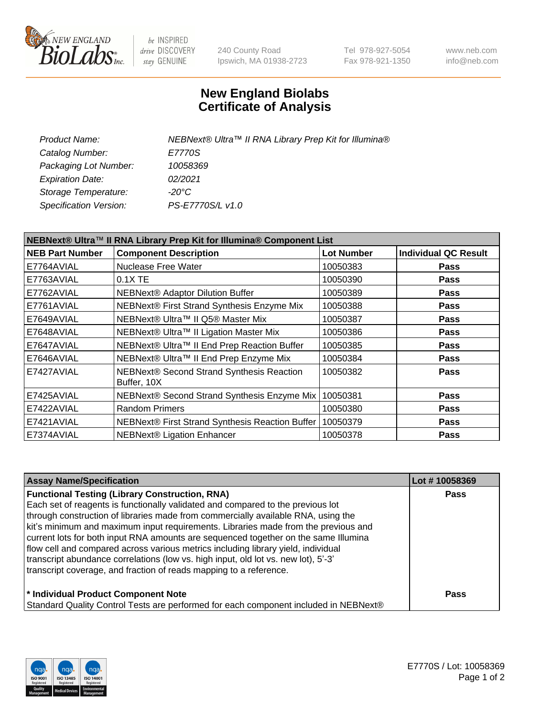

be INSPIRED drive DISCOVERY stay GENUINE

240 County Road Ipswich, MA 01938-2723 Tel 978-927-5054 Fax 978-921-1350 www.neb.com info@neb.com

## **New England Biolabs Certificate of Analysis**

| Product Name:           | NEBNext® Ultra™ II RNA Library Prep Kit for Illumina® |
|-------------------------|-------------------------------------------------------|
| Catalog Number:         | E7770S                                                |
| Packaging Lot Number:   | 10058369                                              |
| <b>Expiration Date:</b> | 02/2021                                               |
| Storage Temperature:    | -20°C                                                 |
| Specification Version:  | PS-E7770S/L v1.0                                      |

| NEBNext® Ultra™ II RNA Library Prep Kit for Illumina® Component List |                                                          |                   |                             |  |
|----------------------------------------------------------------------|----------------------------------------------------------|-------------------|-----------------------------|--|
| <b>NEB Part Number</b>                                               | <b>Component Description</b>                             | <b>Lot Number</b> | <b>Individual QC Result</b> |  |
| E7764AVIAL                                                           | <b>Nuclease Free Water</b>                               | 10050383          | <b>Pass</b>                 |  |
| E7763AVIAL                                                           | $0.1X$ TE                                                | 10050390          | <b>Pass</b>                 |  |
| E7762AVIAL                                                           | <b>NEBNext® Adaptor Dilution Buffer</b>                  | 10050389          | <b>Pass</b>                 |  |
| E7761AVIAL                                                           | NEBNext® First Strand Synthesis Enzyme Mix               | 10050388          | <b>Pass</b>                 |  |
| E7649AVIAL                                                           | NEBNext® Ultra™ II Q5® Master Mix                        | 10050387          | <b>Pass</b>                 |  |
| E7648AVIAL                                                           | NEBNext® Ultra™ II Ligation Master Mix                   | 10050386          | <b>Pass</b>                 |  |
| E7647AVIAL                                                           | NEBNext® Ultra™ II End Prep Reaction Buffer              | 10050385          | <b>Pass</b>                 |  |
| E7646AVIAL                                                           | NEBNext® Ultra™ II End Prep Enzyme Mix                   | 10050384          | <b>Pass</b>                 |  |
| E7427AVIAL                                                           | NEBNext® Second Strand Synthesis Reaction<br>Buffer, 10X | 10050382          | <b>Pass</b>                 |  |
| E7425AVIAL                                                           | NEBNext® Second Strand Synthesis Enzyme Mix              | 10050381          | Pass                        |  |
| E7422AVIAL                                                           | <b>Random Primers</b>                                    | 10050380          | <b>Pass</b>                 |  |
| E7421AVIAL                                                           | NEBNext® First Strand Synthesis Reaction Buffer          | 10050379          | <b>Pass</b>                 |  |
| E7374AVIAL                                                           | <b>NEBNext® Ligation Enhancer</b>                        | 10050378          | <b>Pass</b>                 |  |

| <b>Assay Name/Specification</b>                                                      | Lot #10058369 |
|--------------------------------------------------------------------------------------|---------------|
| <b>Functional Testing (Library Construction, RNA)</b>                                | <b>Pass</b>   |
| Each set of reagents is functionally validated and compared to the previous lot      |               |
| through construction of libraries made from commercially available RNA, using the    |               |
| kit's minimum and maximum input requirements. Libraries made from the previous and   |               |
| current lots for both input RNA amounts are sequenced together on the same Illumina  |               |
| flow cell and compared across various metrics including library yield, individual    |               |
| transcript abundance correlations (low vs. high input, old lot vs. new lot), 5'-3'   |               |
| transcript coverage, and fraction of reads mapping to a reference.                   |               |
| * Individual Product Component Note                                                  | <b>Pass</b>   |
| Standard Quality Control Tests are performed for each component included in NEBNext® |               |